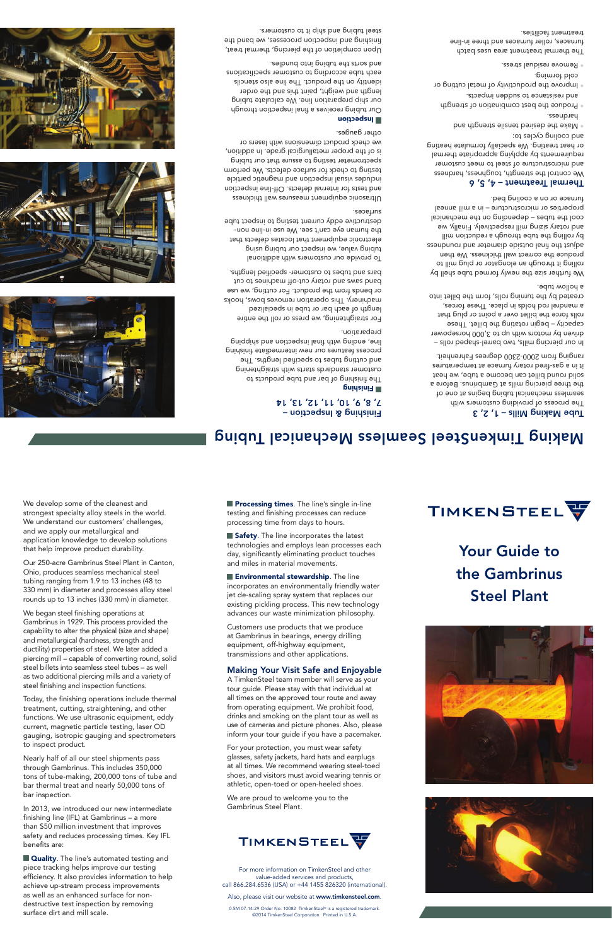We develop some of the cleanest and strongest specialty alloy steels in the world. We understand our customers' challenges, and we apply our metallurgical and application knowledge to develop solutions that help improve product durability.

Our 250-acre Gambrinus Steel Plant in Canton, Ohio, produces seamless mechanical steel tubing ranging from 1.9 to 13 inches (48 to 330 mm) in diameter and processes alloy steel rounds up to 13 inches (330 mm) in diameter.

We began steel finishing operations at Gambrinus in 1929. This process provided the capability to alter the physical (size and shape) and metallurgical (hardness, strength and ductility) properties of steel. We later added a piercing mill – capable of converting round, solid steel billets into seamless steel tubes – as well as two additional piercing mills and a variety of steel finishing and inspection functions.

Today, the finishing operations include thermal treatment, cutting, straightening, and other functions. We use ultrasonic equipment, eddy current, magnetic particle testing, laser OD gauging, isotropic gauging and spectrometers to inspect product.

Nearly half of all our steel shipments pass through Gambrinus. This includes 350,000 tons of tube-making, 200,000 tons of tube and bar thermal treat and nearly 50,000 tons of bar inspection.

In 2013, we introduced our new intermediate finishing line (IFL) at Gambrinus – a more than \$50 million investment that improves safety and reduces processing times. Key IFL benefits are:

**Quality**. The line's automated testing and piece tracking helps improve our testing efficiency. It also provides information to help achieve up-stream process improvements as well as an enhanced surface for nondestructive test inspection by removing surface dirt and mill scale.

**Processing times**. The line's single in-line testing and finishing processes can reduce processing time from days to hours.

Safety. The line incorporates the latest technologies and employs lean processes each day, significantly eliminating product touches and miles in material movements.

**Environmental stewardship**. The line incorporates an environmentally friendly water jet de-scaling spray system that replaces our existing pickling process. This new technology advances our waste minimization philosophy.

Customers use products that we produce at Gambrinus in bearings, energy drilling equipment, off-highway equipment, transmissions and other applications.

#### Making Your Visit Safe and Enjoyable

A TimkenSteel team member will serve as your tour guide. Please stay with that individual at all times on the approved tour route and away from operating equipment. We prohibit food, drinks and smoking on the plant tour as well as use of cameras and picture phones. Also, please inform your tour guide if you have a pacemaker.

For your protection, you must wear safety glasses, safety jackets, hard hats and earplugs at all times. We recommend wearing steel-toed shoes, and visitors must avoid wearing tennis or athletic, open-toed or open-heeled shoes.

We are proud to welcome you to the Gambrinus Steel Plant.

# **TIMKENSTEEL**

For more information on TimkenSteel and other value-added services and products, call 866.284.6536 (USA) or +44 1455 826320 (international).

Also, please visit our website at www.timkensteel.com.

0.5M 07-14:29 Order No. 10082 TimkenSteel® is a registered trademark. ©2014 TimkenSteel Corporation. Printed in U.S.A.



# Your Guide to the Gambrinus Steel Plant



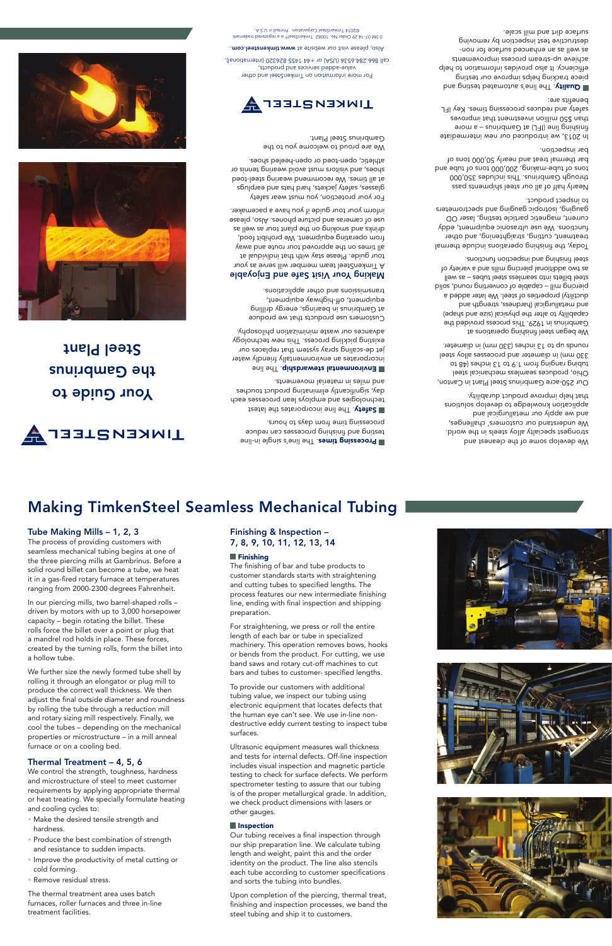# Making TimkenSteel Seamless Mechanical Tubing

### Tube Making Mills – 1, 2, 3

The process of providing customers with seamless mechanical tubing begins at one of the three piercing mills at Gambrinus. Before a solid round billet can become a tube, we heat it in a gas-fired rotary furnace at temperatures ranging from 2000-2300 degrees Fahrenheit.

In our piercing mills, two barrel-shaped rolls – driven by motors with up to 3,000 horsepower capacity – begin rotating the billet. These rolls force the billet over a point or plug that a mandrel rod holds in place. These forces, created by the turning rolls, form the billet into a hollow tube.

We further size the newly formed tube shell by rolling it through an elongator or plug mill to produce the correct wall thickness. We then adjust the final outside diameter and roundness by rolling the tube through a reduction mill and rotary sizing mill respectively. Finally, we cool the tubes – depending on the mechanical properties or microstructure – in a mill anneal furnace or on a cooling bed.

#### Thermal Treatment – 4, 5, 6

We control the strength, toughness, hardness and microstructure of steel to meet customer requirements by applying appropriate thermal or heat treating. We specially formulate heating and cooling cycles to:

- Make the desired tensile strength and hardness.
- Produce the best combination of strength and resistance to sudden impacts.
- Improve the productivity of metal cutting or cold forming.
- Remove residual stress.

The thermal treatment area uses batch furnaces, roller furnaces and three in-line treatment facilities.

#### Finishing & Inspection – 7, 8, 9, 10, 11, 12, 13, 14

#### **Finishing**

The finishing of bar and tube products to customer standards starts with straightening and cutting tubes to specified lengths. The process features our new intermediate finishing line, ending with final inspection and shipping preparation.

For straightening, we press or roll the entire length of each bar or tube in specialized machinery. This operation removes bows, hooks or bends from the product. For cutting, we use band saws and rotary cut-off machines to cut bars and tubes to customer- specified lengths.

To provide our customers with additional tubing value, we inspect our tubing using electronic equipment that locates defects that the human eye can't see. We use in-line nondestructive eddy current testing to inspect tube surfaces.

Ultrasonic equipment measures wall thickness and tests for internal defects. Off-line inspection includes visual inspection and magnetic particle testing to check for surface defects. We perform spectrometer testing to assure that our tubing is of the proper metallurgical grade. In addition, we check product dimensions with lasers or other gauges.

#### **Inspection**

Our tubing receives a final inspection through our ship preparation line. We calculate tubing length and weight, paint this and the order identity on the product. The line also stencils each tube according to customer specifications and sorts the tubing into bundles.

Upon completion of the piercing, thermal treat, finishing and inspection processes, we band the steel tubing and ship it to customers.